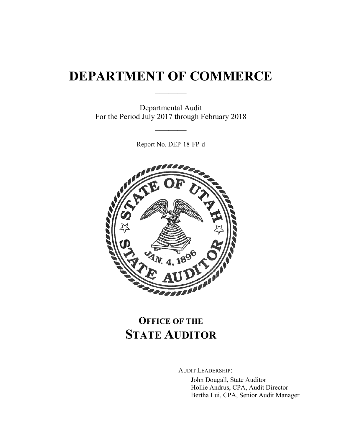# **DEPARTMENT OF COMMERCE**

 $\frac{1}{2}$ 

Departmental Audit For the Period July 2017 through February 2018

 $\frac{1}{2}$ 

Report No. DEP-18-FP-d



## **OFFICE OF THE STATE AUDITOR**

AUDIT LEADERSHIP:

John Dougall, State Auditor Hollie Andrus, CPA, Audit Director Bertha Lui, CPA, Senior Audit Manager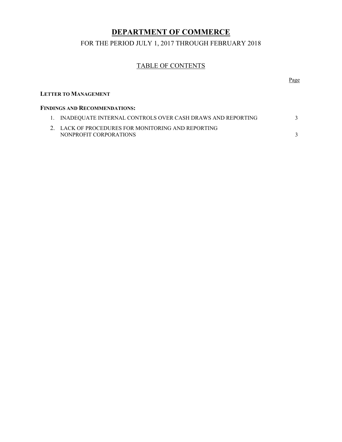## **DEPARTMENT OF COMMERCE**

FOR THE PERIOD JULY 1, 2017 THROUGH FEBRUARY 2018

## TABLE OF CONTENTS

|                                                                              | Page |
|------------------------------------------------------------------------------|------|
| <b>LETTER TO MANAGEMENT</b>                                                  |      |
| <b>FINDINGS AND RECOMMENDATIONS:</b>                                         |      |
| INADEQUATE INTERNAL CONTROLS OVER CASH DRAWS AND REPORTING                   |      |
| 2. LACK OF PROCEDURES FOR MONITORING AND REPORTING<br>NONPROFIT CORPORATIONS |      |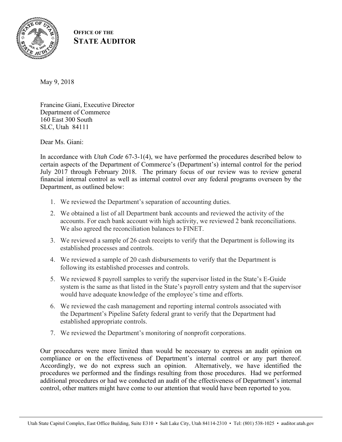

### **OFFICE OF THE STATE AUDITOR**

Francine Giani, Executive Director Department of Commerce 160 East 300 South SLC, Utah 84111

Dear Ms. Giani:

In accordance with *Utah Code* 67-3-1(4), we have performed the procedures described below to certain aspects of the Department of Commerce's (Department's) internal control for the period July 2017 through February 2018. The primary focus of our review was to review general financial internal control as well as internal control over any federal programs overseen by the Department, as outlined below:

- 1. We reviewed the Department's separation of accounting duties.
- 2. We obtained a list of all Department bank accounts and reviewed the activity of the accounts. For each bank account with high activity, we reviewed 2 bank reconciliations. We also agreed the reconciliation balances to FINET.
- 3. We reviewed a sample of 26 cash receipts to verify that the Department is following its established processes and controls.
- 4. We reviewed a sample of 20 cash disbursements to verify that the Department is following its established processes and controls.
- 5. We reviewed 8 payroll samples to verify the supervisor listed in the State's E-Guide system is the same as that listed in the State's payroll entry system and that the supervisor would have adequate knowledge of the employee's time and efforts.
- 6. We reviewed the cash management and reporting internal controls associated with the Department's Pipeline Safety federal grant to verify that the Department had established appropriate controls.
- 7. We reviewed the Department's monitoring of nonprofit corporations.

Our procedures were more limited than would be necessary to express an audit opinion on compliance or on the effectiveness of Department's internal control or any part thereof. Accordingly, we do not express such an opinion. Alternatively, we have identified the procedures we performed and the findings resulting from those procedures. Had we performed additional procedures or had we conducted an audit of the effectiveness of Department's internal control, other matters might have come to our attention that would have been reported to you.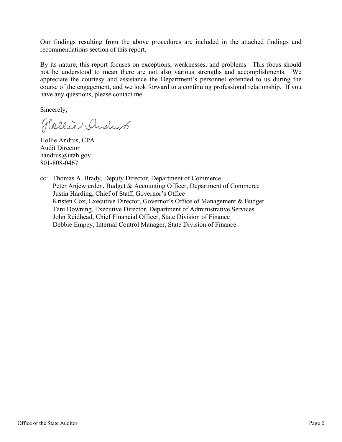Our findings resulting from the above procedures are included in the attached findings and recommendations section of this report.

By its nature, this report focuses on exceptions, weaknesses, and problems. This focus should not be understood to mean there are not also various strengths and accomplishments. We appreciate the courtesy and assistance the Department's personnel extended to us during the course of the engagement, and we look forward to a continuing professional relationship. If you have any questions, please contact me.

Sincerely,

Hellie Andrus

Hollie Andrus, CPA Audit Director handrus@utah.gov 801-808-0467

cc: Thomas A. Brady, Deputy Director, Department of Commerce Peter Anjewierden, Budget & Accounting Officer, Department of Commerce Justin Harding, Chief of Staff, Governor's Office Kristen Cox, Executive Director, Governor's Office of Management & Budget Tani Downing, Executive Director, Department of Administrative Services John Reidhead, Chief Financial Officer, State Division of Finance Debbie Empey, Internal Control Manager, State Division of Finance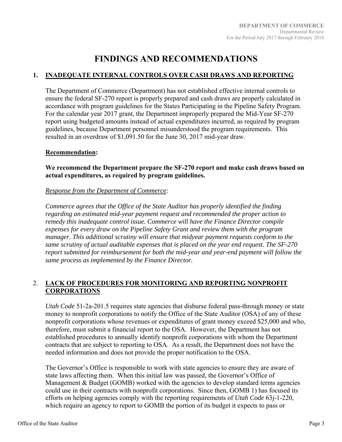## **FINDINGS AND RECOMMENDATIONS**

#### **1. INADEQUATE INTERNAL CONTROLS OVER CASH DRAWS AND REPORTING**

The Department of Commerce (Department) has not established effective internal controls to ensure the federal SF-270 report is properly prepared and cash draws are properly calculated in accordance with program guidelines for the States Participating in the Pipeline Safety Program. For the calendar year 2017 grant, the Department improperly prepared the Mid-Year SF-270 report using budgeted amounts instead of actual expenditures incurred, as required by program guidelines, because Department personnel misunderstood the program requirements. This resulted in an overdraw of \$1,091.50 for the June 30, 2017 mid-year draw.

#### **Recommendation:**

**We recommend the Department prepare the SF-270 report and make cash draws based on actual expenditures, as required by program guidelines.** 

#### *Response from the Department of Commerce:*

*Commerce agrees that the Office of the State Auditor has properly identified the finding regarding an estimated mid-year payment request and recommended the proper action to remedy this inadequate control issue. Commerce will have the Finance Director compile expenses for every draw on the Pipeline Safety Grant and review them with the program manager. This additional scrutiny will ensure that midyear payment requests conform to the same scrutiny of actual auditable expenses that is placed on the year end request. The SF-270 report submitted for reimbursement for both the mid-year and year-end payment will follow the same process as implemented by the Finance Director.* 

#### 2. **LACK OF PROCEDURES FOR MONITORING AND REPORTING NONPROFIT CORPORATIONS**

*Utah Code* 51-2a-201.5 requires state agencies that disburse federal pass-through money or state money to nonprofit corporations to notify the Office of the State Auditor (OSA) of any of these nonprofit corporations whose revenues or expenditures of grant money exceed \$25,000 and who, therefore, must submit a financial report to the OSA. However, the Department has not established procedures to annually identify nonprofit corporations with whom the Department contracts that are subject to reporting to OSA. As a result, the Department does not have the needed information and does not provide the proper notification to the OSA.

The Governor's Office is responsible to work with state agencies to ensure they are aware of state laws affecting them. When this initial law was passed, the Governor's Office of Management  $\&$  Budget (GOMB) worked with the agencies to develop standard terms agencies could use in their contracts with nonprofit corporations. Since then, GOMB 1) has focused its efforts on helping agencies comply with the reporting requirements of *Utah Code* 63j-1-220, which require an agency to report to GOMB the portion of its budget it expects to pass or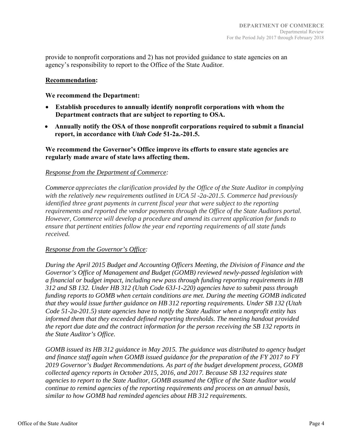provide to nonprofit corporations and 2) has not provided guidance to state agencies on an agency's responsibility to report to the Office of the State Auditor.

#### **Recommendation:**

**We recommend the Department:** 

- **Establish procedures to annually identify nonprofit corporations with whom the Department contracts that are subject to reporting to OSA.**
- **Annually notify the OSA of those nonprofit corporations required to submit a financial report, in accordance with** *Utah Code* **51-2a.-201.5.**

**We recommend the Governor's Office improve its efforts to ensure state agencies are regularly made aware of state laws affecting them.** 

#### *Response from the Department of Commerce:*

*Commerce appreciates the clarification provided by the Office of the State Auditor in complying with the relatively new requirements outlined in UCA 5l -2a-201.5. Commerce had previously identified three grant payments in current fiscal year that were subject to the reporting requirements and reported the vendor payments through the Office of the State Auditors portal. However, Commerce will develop a procedure and amend its current application for funds to ensure that pertinent entities follow the year end reporting requirements of all state funds received.*

#### *Response from the Governor's Office:*

*During the April 2015 Budget and Accounting Officers Meeting, the Division of Finance and the Governor's Office of Management and Budget (GOMB) reviewed newly-passed legislation with a financial or budget impact, including new pass through funding reporting requirements in HB 312 and SB 132. Under HB 312 (Utah Code 63J-1-220) agencies have to submit pass through funding reports to GOMB when certain conditions are met. During the meeting GOMB indicated that they would issue further guidance on HB 312 reporting requirements. Under SB 132 (Utah Code 51-2a-201.5) state agencies have to notify the State Auditor when a nonprofit entity has informed them that they exceeded defined reporting thresholds. The meeting handout provided the report due date and the contract information for the person receiving the SB 132 reports in the State Auditor's Office.* 

*GOMB issued its HB 312 guidance in May 2015. The guidance was distributed to agency budget and finance staff again when GOMB issued guidance for the preparation of the FY 2017 to FY 2019 Governor's Budget Recommendations. As part of the budget development process, GOMB collected agency reports in October 2015, 2016, and 2017. Because SB 132 requires state agencies to report to the State Auditor, GOMB assumed the Office of the State Auditor would continue to remind agencies of the reporting requirements and process on an annual basis, similar to how GOMB had reminded agencies about HB 312 requirements.*